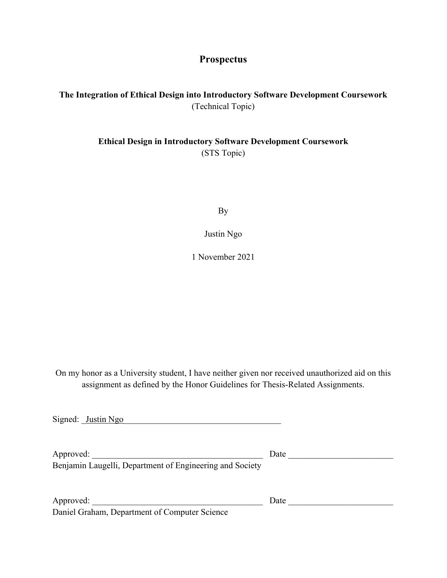# **Prospectus**

# **The Integration of Ethical Design into Introductory Software Development Coursework** (Technical Topic)

## **Ethical Design in Introductory Software Development Coursework** (STS Topic)

By

Justin Ngo

1 November 2021

On my honor as a University student, I have neither given nor received unauthorized aid on this assignment as defined by the Honor Guidelines for Thesis-Related Assignments.

| Signed: Justin Ngo                                       |      |
|----------------------------------------------------------|------|
| Approved:                                                | Date |
| Benjamin Laugelli, Department of Engineering and Society |      |
| Approved:                                                | Date |
| Daniel Graham, Department of Computer Science            |      |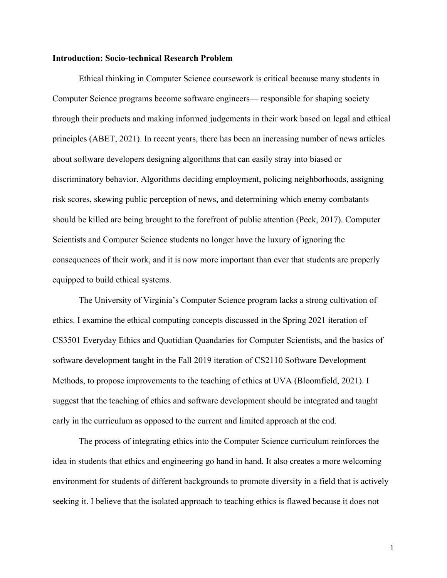### **Introduction: Socio-technical Research Problem**

Ethical thinking in Computer Science coursework is critical because many students in Computer Science programs become software engineers— responsible for shaping society through their products and making informed judgements in their work based on legal and ethical principles (ABET, 2021). In recent years, there has been an increasing number of news articles about software developers designing algorithms that can easily stray into biased or discriminatory behavior. Algorithms deciding employment, policing neighborhoods, assigning risk scores, skewing public perception of news, and determining which enemy combatants should be killed are being brought to the forefront of public attention (Peck, 2017). Computer Scientists and Computer Science students no longer have the luxury of ignoring the consequences of their work, and it is now more important than ever that students are properly equipped to build ethical systems.

The University of Virginia's Computer Science program lacks a strong cultivation of ethics. I examine the ethical computing concepts discussed in the Spring 2021 iteration of CS3501 Everyday Ethics and Quotidian Quandaries for Computer Scientists, and the basics of software development taught in the Fall 2019 iteration of CS2110 Software Development Methods, to propose improvements to the teaching of ethics at UVA (Bloomfield, 2021). I suggest that the teaching of ethics and software development should be integrated and taught early in the curriculum as opposed to the current and limited approach at the end.

The process of integrating ethics into the Computer Science curriculum reinforces the idea in students that ethics and engineering go hand in hand. It also creates a more welcoming environment for students of different backgrounds to promote diversity in a field that is actively seeking it. I believe that the isolated approach to teaching ethics is flawed because it does not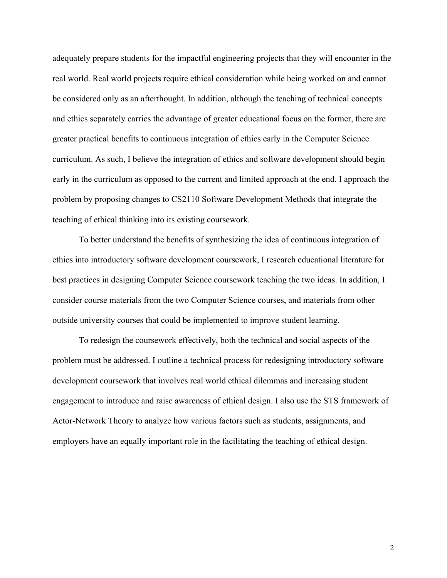adequately prepare students for the impactful engineering projects that they will encounter in the real world. Real world projects require ethical consideration while being worked on and cannot be considered only as an afterthought. In addition, although the teaching of technical concepts and ethics separately carries the advantage of greater educational focus on the former, there are greater practical benefits to continuous integration of ethics early in the Computer Science curriculum. As such, I believe the integration of ethics and software development should begin early in the curriculum as opposed to the current and limited approach at the end. I approach the problem by proposing changes to CS2110 Software Development Methods that integrate the teaching of ethical thinking into its existing coursework.

To better understand the benefits of synthesizing the idea of continuous integration of ethics into introductory software development coursework, I research educational literature for best practices in designing Computer Science coursework teaching the two ideas. In addition, I consider course materials from the two Computer Science courses, and materials from other outside university courses that could be implemented to improve student learning.

To redesign the coursework effectively, both the technical and social aspects of the problem must be addressed. I outline a technical process for redesigning introductory software development coursework that involves real world ethical dilemmas and increasing student engagement to introduce and raise awareness of ethical design. I also use the STS framework of Actor-Network Theory to analyze how various factors such as students, assignments, and employers have an equally important role in the facilitating the teaching of ethical design.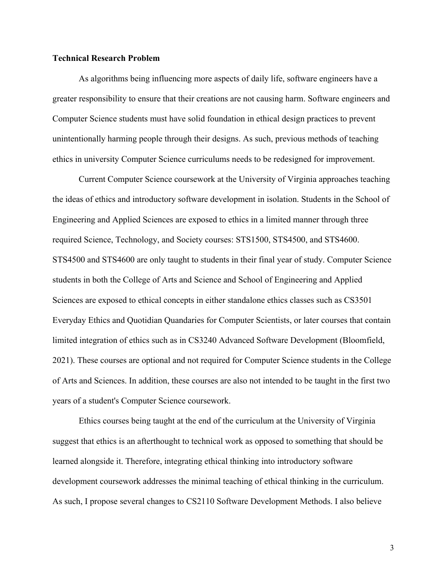### **Technical Research Problem**

As algorithms being influencing more aspects of daily life, software engineers have a greater responsibility to ensure that their creations are not causing harm. Software engineers and Computer Science students must have solid foundation in ethical design practices to prevent unintentionally harming people through their designs. As such, previous methods of teaching ethics in university Computer Science curriculums needs to be redesigned for improvement.

Current Computer Science coursework at the University of Virginia approaches teaching the ideas of ethics and introductory software development in isolation. Students in the School of Engineering and Applied Sciences are exposed to ethics in a limited manner through three required Science, Technology, and Society courses: STS1500, STS4500, and STS4600. STS4500 and STS4600 are only taught to students in their final year of study. Computer Science students in both the College of Arts and Science and School of Engineering and Applied Sciences are exposed to ethical concepts in either standalone ethics classes such as CS3501 Everyday Ethics and Quotidian Quandaries for Computer Scientists, or later courses that contain limited integration of ethics such as in CS3240 Advanced Software Development (Bloomfield, 2021). These courses are optional and not required for Computer Science students in the College of Arts and Sciences. In addition, these courses are also not intended to be taught in the first two years of a student's Computer Science coursework.

Ethics courses being taught at the end of the curriculum at the University of Virginia suggest that ethics is an afterthought to technical work as opposed to something that should be learned alongside it. Therefore, integrating ethical thinking into introductory software development coursework addresses the minimal teaching of ethical thinking in the curriculum. As such, I propose several changes to CS2110 Software Development Methods. I also believe

3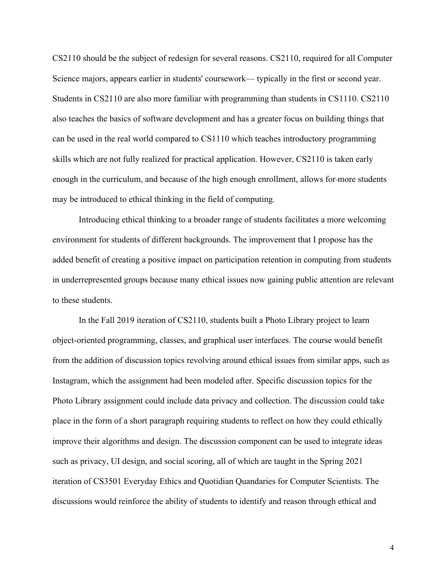CS2110 should be the subject of redesign for several reasons. CS2110, required for all Computer Science majors, appears earlier in students' coursework— typically in the first or second year. Students in CS2110 are also more familiar with programming than students in CS1110. CS2110 also teaches the basics of software development and has a greater focus on building things that can be used in the real world compared to CS1110 which teaches introductory programming skills which are not fully realized for practical application. However, CS2110 is taken early enough in the curriculum, and because of the high enough enrollment, allows for more students may be introduced to ethical thinking in the field of computing.

Introducing ethical thinking to a broader range of students facilitates a more welcoming environment for students of different backgrounds. The improvement that I propose has the added benefit of creating a positive impact on participation retention in computing from students in underrepresented groups because many ethical issues now gaining public attention are relevant to these students.

In the Fall 2019 iteration of CS2110, students built a Photo Library project to learn object-oriented programming, classes, and graphical user interfaces. The course would benefit from the addition of discussion topics revolving around ethical issues from similar apps, such as Instagram, which the assignment had been modeled after. Specific discussion topics for the Photo Library assignment could include data privacy and collection. The discussion could take place in the form of a short paragraph requiring students to reflect on how they could ethically improve their algorithms and design. The discussion component can be used to integrate ideas such as privacy, UI design, and social scoring, all of which are taught in the Spring 2021 iteration of CS3501 Everyday Ethics and Quotidian Quandaries for Computer Scientists. The discussions would reinforce the ability of students to identify and reason through ethical and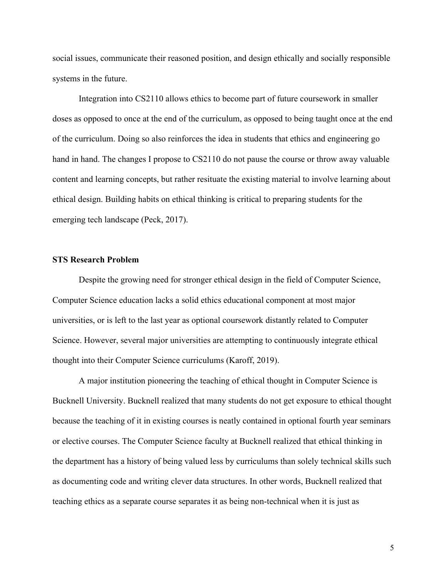social issues, communicate their reasoned position, and design ethically and socially responsible systems in the future.

Integration into CS2110 allows ethics to become part of future coursework in smaller doses as opposed to once at the end of the curriculum, as opposed to being taught once at the end of the curriculum. Doing so also reinforces the idea in students that ethics and engineering go hand in hand. The changes I propose to CS2110 do not pause the course or throw away valuable content and learning concepts, but rather resituate the existing material to involve learning about ethical design. Building habits on ethical thinking is critical to preparing students for the emerging tech landscape (Peck, 2017).

### **STS Research Problem**

Despite the growing need for stronger ethical design in the field of Computer Science, Computer Science education lacks a solid ethics educational component at most major universities, or is left to the last year as optional coursework distantly related to Computer Science. However, several major universities are attempting to continuously integrate ethical thought into their Computer Science curriculums (Karoff, 2019).

A major institution pioneering the teaching of ethical thought in Computer Science is Bucknell University. Bucknell realized that many students do not get exposure to ethical thought because the teaching of it in existing courses is neatly contained in optional fourth year seminars or elective courses. The Computer Science faculty at Bucknell realized that ethical thinking in the department has a history of being valued less by curriculums than solely technical skills such as documenting code and writing clever data structures. In other words, Bucknell realized that teaching ethics as a separate course separates it as being non-technical when it is just as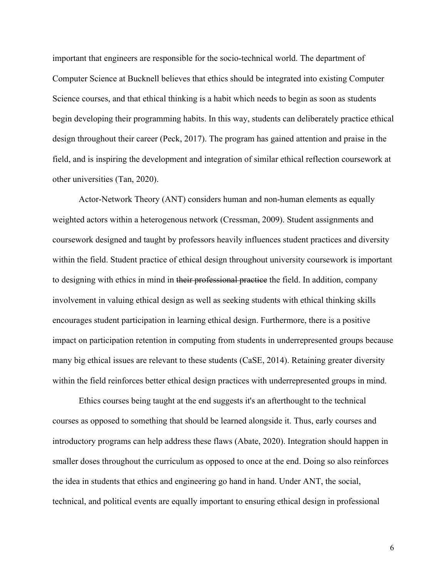important that engineers are responsible for the socio-technical world. The department of Computer Science at Bucknell believes that ethics should be integrated into existing Computer Science courses, and that ethical thinking is a habit which needs to begin as soon as students begin developing their programming habits. In this way, students can deliberately practice ethical design throughout their career (Peck, 2017). The program has gained attention and praise in the field, and is inspiring the development and integration of similar ethical reflection coursework at other universities (Tan, 2020).

Actor-Network Theory (ANT) considers human and non-human elements as equally weighted actors within a heterogenous network (Cressman, 2009). Student assignments and coursework designed and taught by professors heavily influences student practices and diversity within the field. Student practice of ethical design throughout university coursework is important to designing with ethics in mind in their professional practice the field. In addition, company involvement in valuing ethical design as well as seeking students with ethical thinking skills encourages student participation in learning ethical design. Furthermore, there is a positive impact on participation retention in computing from students in underrepresented groups because many big ethical issues are relevant to these students (CaSE, 2014). Retaining greater diversity within the field reinforces better ethical design practices with underrepresented groups in mind.

Ethics courses being taught at the end suggests it's an afterthought to the technical courses as opposed to something that should be learned alongside it. Thus, early courses and introductory programs can help address these flaws (Abate, 2020). Integration should happen in smaller doses throughout the curriculum as opposed to once at the end. Doing so also reinforces the idea in students that ethics and engineering go hand in hand. Under ANT, the social, technical, and political events are equally important to ensuring ethical design in professional

6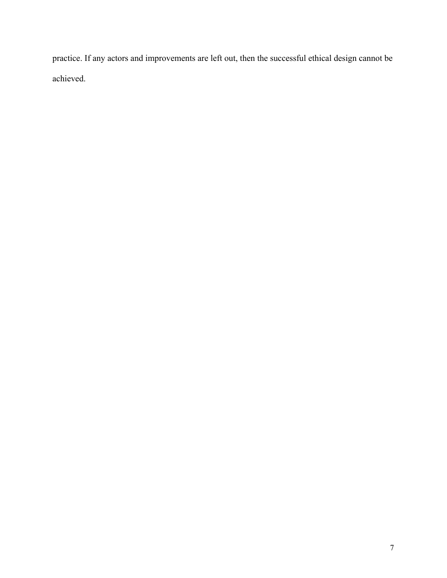practice. If any actors and improvements are left out, then the successful ethical design cannot be achieved.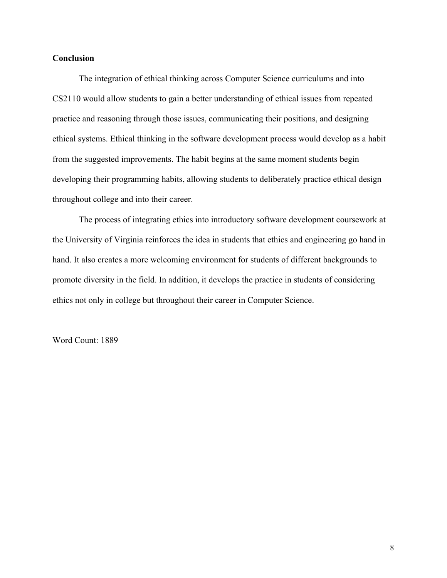### **Conclusion**

The integration of ethical thinking across Computer Science curriculums and into CS2110 would allow students to gain a better understanding of ethical issues from repeated practice and reasoning through those issues, communicating their positions, and designing ethical systems. Ethical thinking in the software development process would develop as a habit from the suggested improvements. The habit begins at the same moment students begin developing their programming habits, allowing students to deliberately practice ethical design throughout college and into their career.

The process of integrating ethics into introductory software development coursework at the University of Virginia reinforces the idea in students that ethics and engineering go hand in hand. It also creates a more welcoming environment for students of different backgrounds to promote diversity in the field. In addition, it develops the practice in students of considering ethics not only in college but throughout their career in Computer Science.

Word Count: 1889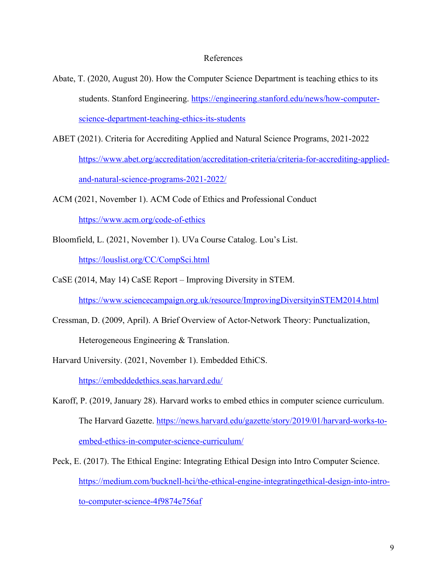#### References

- Abate, T. (2020, August 20). How the Computer Science Department is teaching ethics to its students. Stanford Engineering. https://engineering.stanford.edu/news/how-computerscience-department-teaching-ethics-its-students
- ABET (2021). Criteria for Accrediting Applied and Natural Science Programs, 2021-2022 https://www.abet.org/accreditation/accreditation-criteria/criteria-for-accrediting-appliedand-natural-science-programs-2021-2022/
- ACM (2021, November 1). ACM Code of Ethics and Professional Conduct https://www.acm.org/code-of-ethics
- Bloomfield, L. (2021, November 1). UVa Course Catalog. Lou's List. https://louslist.org/CC/CompSci.html
- CaSE (2014, May 14) CaSE Report Improving Diversity in STEM. https://www.sciencecampaign.org.uk/resource/ImprovingDiversityinSTEM2014.html
- Cressman, D. (2009, April). A Brief Overview of Actor-Network Theory: Punctualization, Heterogeneous Engineering & Translation.

Harvard University. (2021, November 1). Embedded EthiCS.

https://embeddedethics.seas.harvard.edu/

Karoff, P. (2019, January 28). Harvard works to embed ethics in computer science curriculum. The Harvard Gazette. https://news.harvard.edu/gazette/story/2019/01/harvard-works-toembed-ethics-in-computer-science-curriculum/

Peck, E. (2017). The Ethical Engine: Integrating Ethical Design into Intro Computer Science. https://medium.com/bucknell-hci/the-ethical-engine-integratingethical-design-into-introto-computer-science-4f9874e756af